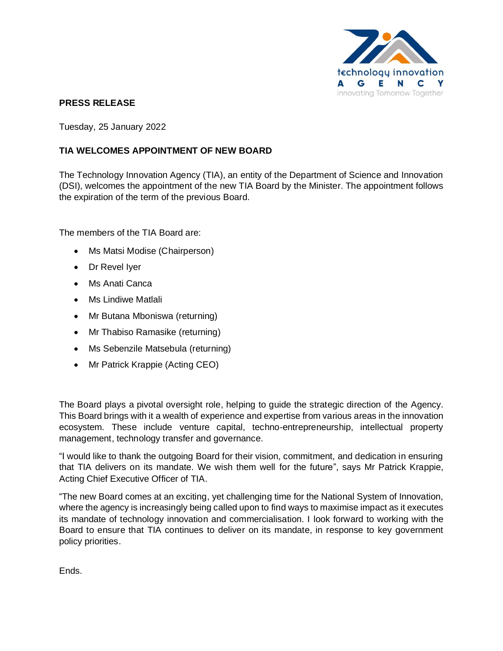

## **PRESS RELEASE**

Tuesday, 25 January 2022

## **TIA WELCOMES APPOINTMENT OF NEW BOARD**

The Technology Innovation Agency (TIA), an entity of the Department of Science and Innovation (DSI), welcomes the appointment of the new TIA Board by the Minister. The appointment follows the expiration of the term of the previous Board.

The members of the TIA Board are:

- Ms Matsi Modise (Chairperson)
- Dr Revel Iyer
- Ms Anati Canca
- Ms Lindiwe Matlali
- Mr Butana Mboniswa (returning)
- Mr Thabiso Ramasike (returning)
- Ms Sebenzile Matsebula (returning)
- Mr Patrick Krappie (Acting CEO)

The Board plays a pivotal oversight role, helping to guide the strategic direction of the Agency. This Board brings with it a wealth of experience and expertise from various areas in the innovation ecosystem. These include venture capital, techno-entrepreneurship, intellectual property management, technology transfer and governance.

"I would like to thank the outgoing Board for their vision, commitment, and dedication in ensuring that TIA delivers on its mandate. We wish them well for the future", says Mr Patrick Krappie, Acting Chief Executive Officer of TIA.

"The new Board comes at an exciting, yet challenging time for the National System of Innovation, where the agency is increasingly being called upon to find ways to maximise impact as it executes its mandate of technology innovation and commercialisation. I look forward to working with the Board to ensure that TIA continues to deliver on its mandate, in response to key government policy priorities.

Ends.